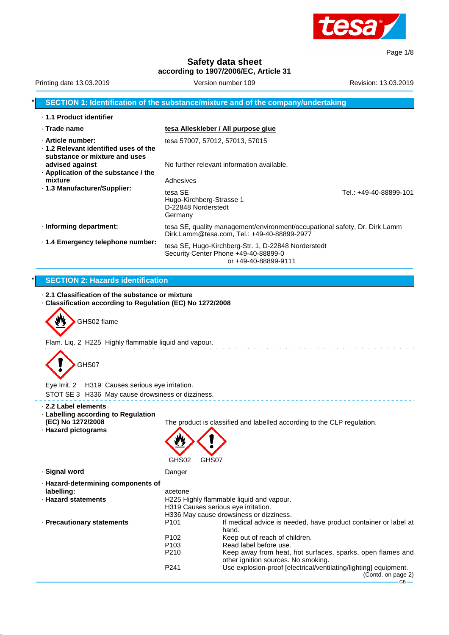

Page 1/8

**Safety data sheet according to 1907/2006/EC, Article 31**

|                                                                                                                                                                    | SECTION 1: Identification of the substance/mixture and of the company/undertaking                                                     |                        |
|--------------------------------------------------------------------------------------------------------------------------------------------------------------------|---------------------------------------------------------------------------------------------------------------------------------------|------------------------|
| · 1.1 Product identifier                                                                                                                                           |                                                                                                                                       |                        |
| $\cdot$ Trade name                                                                                                                                                 | tesa Alleskleber / All purpose glue                                                                                                   |                        |
| · Article number:<br>$\cdot$ 1.2 Relevant identified uses of the<br>substance or mixture and uses                                                                  | tesa 57007, 57012, 57013, 57015                                                                                                       |                        |
| advised against<br>Application of the substance / the                                                                                                              | No further relevant information available.                                                                                            |                        |
| mixture                                                                                                                                                            | Adhesives                                                                                                                             |                        |
| · 1.3 Manufacturer/Supplier:                                                                                                                                       | tesa SE<br>Hugo-Kirchberg-Strasse 1<br>D-22848 Norderstedt<br>Germany                                                                 | Tel.: +49-40-88899-101 |
| · Informing department:                                                                                                                                            | tesa SE, quality management/environment/occupational safety, Dr. Dirk Lamm<br>Dirk.Lamm@tesa.com, Tel.: +49-40-88899-2977             |                        |
| · 1.4 Emergency telephone number:                                                                                                                                  | tesa SE, Hugo-Kirchberg-Str. 1, D-22848 Norderstedt<br>Security Center Phone +49-40-88899-0<br>or +49-40-88899-9111                   |                        |
|                                                                                                                                                                    |                                                                                                                                       |                        |
| <b>SECTION 2: Hazards identification</b>                                                                                                                           |                                                                                                                                       |                        |
| GHS02 flame<br>Flam. Liq. 2 H225 Highly flammable liquid and vapour.                                                                                               |                                                                                                                                       |                        |
| GHS07                                                                                                                                                              |                                                                                                                                       |                        |
| Eye Irrit. 2 H319 Causes serious eye irritation.                                                                                                                   |                                                                                                                                       |                        |
| STOT SE 3 H336 May cause drowsiness or dizziness.<br>$\cdot$ 2.2 Label elements<br>· Labelling according to Regulation<br>(EC) No 1272/2008<br>· Hazard pictograms | The product is classified and labelled according to the CLP regulation.                                                               |                        |
|                                                                                                                                                                    | GHS02<br>GHS07                                                                                                                        |                        |
| ⋅ Signal word                                                                                                                                                      | Danger                                                                                                                                |                        |
| · Hazard-determining components of                                                                                                                                 |                                                                                                                                       |                        |
| labelling:<br>· Hazard statements                                                                                                                                  | acetone<br>H225 Highly flammable liquid and vapour.<br>H319 Causes serious eye irritation.<br>H336 May cause drowsiness or dizziness. |                        |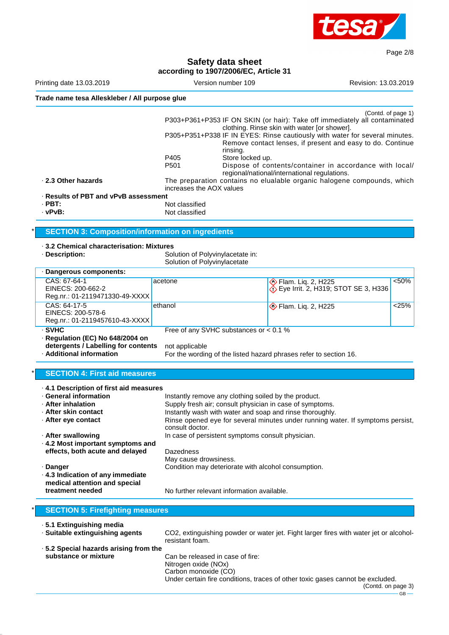

Page 2/8

# **Safety data sheet**

|                                                                                                                                                              |                                                                                  | according to 1907/2006/EC, Article 31                                                                            |                                                                                                                                                                                                                                                                         |                      |
|--------------------------------------------------------------------------------------------------------------------------------------------------------------|----------------------------------------------------------------------------------|------------------------------------------------------------------------------------------------------------------|-------------------------------------------------------------------------------------------------------------------------------------------------------------------------------------------------------------------------------------------------------------------------|----------------------|
| Printing date 13.03.2019                                                                                                                                     |                                                                                  | Version number 109                                                                                               |                                                                                                                                                                                                                                                                         | Revision: 13.03.2019 |
| Trade name tesa Alleskleber / All purpose glue                                                                                                               |                                                                                  |                                                                                                                  |                                                                                                                                                                                                                                                                         |                      |
|                                                                                                                                                              | P405                                                                             | rinsing.<br>Store locked up.                                                                                     | P303+P361+P353 IF ON SKIN (or hair): Take off immediately all contaminated<br>clothing. Rinse skin with water [or shower].<br>P305+P351+P338 IF IN EYES: Rinse cautiously with water for several minutes.<br>Remove contact lenses, if present and easy to do. Continue | (Contd. of page 1)   |
|                                                                                                                                                              | P <sub>501</sub>                                                                 |                                                                                                                  | Dispose of contents/container in accordance with local/                                                                                                                                                                                                                 |                      |
| 2.3 Other hazards                                                                                                                                            | increases the AOX values                                                         |                                                                                                                  | regional/national/international regulations.<br>The preparation contains no elualable organic halogene compounds, which                                                                                                                                                 |                      |
| · Results of PBT and vPvB assessment                                                                                                                         |                                                                                  |                                                                                                                  |                                                                                                                                                                                                                                                                         |                      |
| $·$ PBT:<br>· vPvB:                                                                                                                                          | Not classified<br>Not classified                                                 |                                                                                                                  |                                                                                                                                                                                                                                                                         |                      |
| <b>SECTION 3: Composition/information on ingredients</b>                                                                                                     |                                                                                  |                                                                                                                  |                                                                                                                                                                                                                                                                         |                      |
| 3.2 Chemical characterisation: Mixtures<br>· Description:                                                                                                    | Solution of Polyvinylacetate in:<br>Solution of Polyvinylacetate                 |                                                                                                                  |                                                                                                                                                                                                                                                                         |                      |
| · Dangerous components:                                                                                                                                      |                                                                                  |                                                                                                                  |                                                                                                                                                                                                                                                                         |                      |
| CAS: 67-64-1<br>EINECS: 200-662-2<br>Reg.nr.: 01-2119471330-49-XXXX                                                                                          | acetone                                                                          |                                                                                                                  | ♦ Flam. Liq. 2, H225<br>⊙ Eye Irrit. 2, H319; STOT SE 3, H336                                                                                                                                                                                                           | < 50%                |
| CAS: 64-17-5<br>EINECS: 200-578-6<br>Reg.nr.: 01-2119457610-43-XXXX                                                                                          | ethanol                                                                          |                                                                                                                  | ♦ Flam. Liq. 2, H225                                                                                                                                                                                                                                                    | < 25%                |
| · SVHC<br>· Regulation (EC) No 648/2004 on<br>detergents / Labelling for contents<br>· Additional information                                                | not applicable                                                                   | Free of any SVHC substances or $< 0.1$ %                                                                         | For the wording of the listed hazard phrases refer to section 16.                                                                                                                                                                                                       |                      |
| <b>SECTION 4: First aid measures</b>                                                                                                                         |                                                                                  |                                                                                                                  |                                                                                                                                                                                                                                                                         |                      |
| 4.1 Description of first aid measures<br>· General information<br>· After inhalation<br>· After skin contact<br>· After eye contact                          | consult doctor.                                                                  | Instantly remove any clothing soiled by the product.<br>Supply fresh air; consult physician in case of symptoms. | Instantly wash with water and soap and rinse thoroughly.<br>Rinse opened eye for several minutes under running water. If symptoms persist,                                                                                                                              |                      |
| · After swallowing<br>In case of persistent symptoms consult physician.<br>. 4.2 Most important symptoms and<br>effects, both acute and delayed<br>Dazedness |                                                                                  |                                                                                                                  |                                                                                                                                                                                                                                                                         |                      |
| · Danger<br>. 4.3 Indication of any immediate<br>medical attention and special<br>treatment needed                                                           | May cause drowsiness.                                                            | Condition may deteriorate with alcohol consumption.<br>No further relevant information available.                |                                                                                                                                                                                                                                                                         |                      |
| <b>SECTION 5: Firefighting measures</b>                                                                                                                      |                                                                                  |                                                                                                                  |                                                                                                                                                                                                                                                                         |                      |
|                                                                                                                                                              |                                                                                  |                                                                                                                  |                                                                                                                                                                                                                                                                         |                      |
| · 5.1 Extinguishing media<br>· Suitable extinguishing agents                                                                                                 | resistant foam.                                                                  |                                                                                                                  | CO2, extinguishing powder or water jet. Fight larger fires with water jet or alcohol-                                                                                                                                                                                   |                      |
| .5.2 Special hazards arising from the<br>substance or mixture                                                                                                | Can be released in case of fire:<br>Nitrogen oxide (NOx)<br>Carbon monoxide (CO) |                                                                                                                  |                                                                                                                                                                                                                                                                         |                      |

Under certain fire conditions, traces of other toxic gases cannot be excluded.

(Contd. on page 3)

 $-$  GB  $-$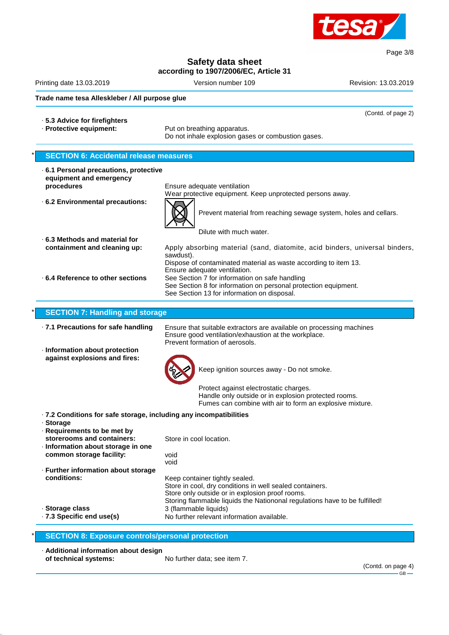

# **Safety data sheet**

**according to 1907/2006/EC, Article 31**

Printing date 13.03.2019 **Version number 109** Revision: 13.03.2019 Revision: 13.03.2019

(Contd. of page 2)

#### **Trade name tesa Alleskleber / All purpose glue**

- · **5.3 Advice for firefighters**
- 

· **Protective equipment:** Put on breathing apparatus. Do not inhale explosion gases or combustion gases.

# **SECTION 6: Accidental release measures** · **6.1 Personal precautions, protective equipment and emergency procedures** Ensure adequate ventilation Wear protective equipment. Keep unprotected persons away. · **6.2 Environmental precautions:** Prevent material from reaching sewage system, holes and cellars. Dilute with much water. · **6.3 Methods and material for containment and cleaning up:** Apply absorbing material (sand, diatomite, acid binders, universal binders, sawdust). Dispose of contaminated material as waste according to item 13. Ensure adequate ventilation. · **6.4 Reference to other sections** See Section 7 for information on safe handling See Section 8 for information on personal protection equipment. See Section 13 for information on disposal. **SECTION 7: Handling and storage** · **7.1 Precautions for safe handling** Ensure that suitable extractors are available on processing machines Ensure good ventilation/exhaustion at the workplace. Prevent formation of aerosols. · **Information about protection against explosions and fires:** Keep ignition sources away - Do not smoke. Protect against electrostatic charges. Handle only outside or in explosion protected rooms. Fumes can combine with air to form an explosive mixture. · **7.2 Conditions for safe storage, including any incompatibilities** · **Storage** · **Requirements to be met by storerooms and containers:** Store in cool location. · **Information about storage in one common storage facility:** void void · **Further information about storage conditions:** Keep container tightly sealed. Store in cool, dry conditions in well sealed containers. Store only outside or in explosion proof rooms. Storing flammable liquids the Nationonal regulations have to be fulfilled! · **Storage class** 3 (flammable liquids)<br>**7.3 Specific end use(s)** No further relevant in No further relevant information available. **SECTION 8: Exposure controls/personal protection**

· **Additional information about design**

**of technical systems:** No further data; see item 7.

Page 3/8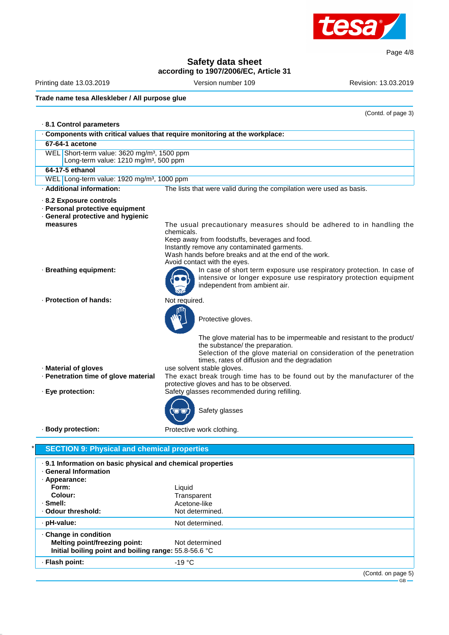

Page 4/8

# **Safety data sheet**

**according to 1907/2006/EC, Article 31**

Printing date 13.03.2019 **Version number 109** Revision: 13.03.2019

**Trade name tesa Alleskleber / All purpose glue**

**Initial boiling point and boiling range:** 55.8-56.6 °C

· **Flash point:** -19 °C

(Contd. of page 3)

| 8.1 Control parameters                                                                                       |                                                                                                                                                                                                                                   |  |
|--------------------------------------------------------------------------------------------------------------|-----------------------------------------------------------------------------------------------------------------------------------------------------------------------------------------------------------------------------------|--|
|                                                                                                              | . Components with critical values that require monitoring at the workplace:                                                                                                                                                       |  |
| 67-64-1 acetone                                                                                              |                                                                                                                                                                                                                                   |  |
| WEL Short-term value: 3620 mg/m <sup>3</sup> , 1500 ppm<br>Long-term value: 1210 mg/m <sup>3</sup> , 500 ppm |                                                                                                                                                                                                                                   |  |
| 64-17-5 ethanol                                                                                              |                                                                                                                                                                                                                                   |  |
| WEL Long-term value: 1920 mg/m <sup>3</sup> , 1000 ppm                                                       |                                                                                                                                                                                                                                   |  |
| · Additional information:                                                                                    | The lists that were valid during the compilation were used as basis.                                                                                                                                                              |  |
| 8.2 Exposure controls<br>· Personal protective equipment<br>· General protective and hygienic<br>measures    | The usual precautionary measures should be adhered to in handling the<br>chemicals.                                                                                                                                               |  |
|                                                                                                              | Keep away from foodstuffs, beverages and food.<br>Instantly remove any contaminated garments.<br>Wash hands before breaks and at the end of the work.<br>Avoid contact with the eyes.                                             |  |
| · Breathing equipment:                                                                                       | In case of short term exposure use respiratory protection. In case of<br>intensive or longer exposure use respiratory protection equipment<br>independent from ambient air.                                                       |  |
| · Protection of hands:                                                                                       | Not required.                                                                                                                                                                                                                     |  |
|                                                                                                              | Protective gloves.                                                                                                                                                                                                                |  |
|                                                                                                              | The glove material has to be impermeable and resistant to the product/<br>the substance/ the preparation.<br>Selection of the glove material on consideration of the penetration<br>times, rates of diffusion and the degradation |  |
| · Material of gloves<br>· Penetration time of glove material                                                 | use solvent stable gloves.<br>The exact break trough time has to be found out by the manufacturer of the                                                                                                                          |  |
| · Eye protection:                                                                                            | protective gloves and has to be observed.<br>Safety glasses recommended during refilling.                                                                                                                                         |  |
|                                                                                                              | Safety glasses                                                                                                                                                                                                                    |  |
| · Body protection:                                                                                           | Protective work clothing.                                                                                                                                                                                                         |  |
| <b>SECTION 9: Physical and chemical properties</b>                                                           |                                                                                                                                                                                                                                   |  |
| . 9.1 Information on basic physical and chemical properties<br>· General Information                         |                                                                                                                                                                                                                                   |  |
| · Appearance:<br>Form:                                                                                       | Liquid                                                                                                                                                                                                                            |  |
| Colour:                                                                                                      | Transparent                                                                                                                                                                                                                       |  |
| $\cdot$ Smell:                                                                                               | Acetone-like                                                                                                                                                                                                                      |  |
| · Odour threshold:                                                                                           | Not determined.                                                                                                                                                                                                                   |  |
| · pH-value:                                                                                                  | Not determined.                                                                                                                                                                                                                   |  |
| · Change in condition<br><b>Melting point/freezing point:</b>                                                | Not determined                                                                                                                                                                                                                    |  |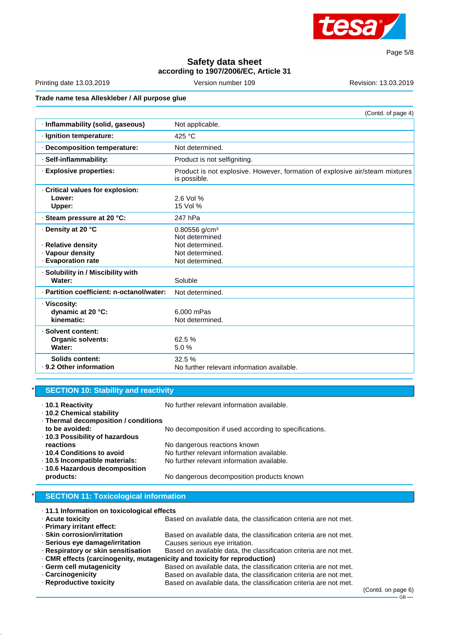

Page 5/8

# **Safety data sheet according to 1907/2006/EC, Article 31**

Printing date 13.03.2019 **Version number 109** Revision: 13.03.2019 Revision: 13.03.2019

# **Trade name tesa Alleskleber / All purpose glue**

(Contd. of page 4)

| · Inflammability (solid, gaseous)                        | Not applicable.                                                                              |
|----------------------------------------------------------|----------------------------------------------------------------------------------------------|
| · Ignition temperature:                                  | 425 °C                                                                                       |
| · Decomposition temperature:                             | Not determined.                                                                              |
| · Self-inflammability:                                   | Product is not selfigniting.                                                                 |
| · Explosive properties:                                  | Product is not explosive. However, formation of explosive air/steam mixtures<br>is possible. |
| Critical values for explosion:<br>Lower:<br>Upper:       | 2.6 Vol %<br>15 Vol %                                                                        |
| ⋅ Steam pressure at 20 °C:                               | 247 hPa                                                                                      |
| ⋅ Density at 20 °C                                       | $0.80556$ g/cm <sup>3</sup><br>Not determined                                                |
| · Relative density                                       | Not determined.                                                                              |
| · Vapour density                                         | Not determined.                                                                              |
| <b>Evaporation rate</b>                                  | Not determined.                                                                              |
| · Solubility in / Miscibility with<br>Water:             | Soluble                                                                                      |
| · Partition coefficient: n-octanol/water:                | Not determined.                                                                              |
| · Viscosity:<br>dynamic at 20 °C:<br>kinematic:          | 6.000 mPas<br>Not determined.                                                                |
| · Solvent content:<br><b>Organic solvents:</b><br>Water: | 62.5 %<br>5.0%                                                                               |
| Solids content:<br>· 9.2 Other information               | 32.5%<br>No further relevant information available.                                          |

#### **SECTION 10: Stability and reactivity**

| ⋅ 10.1 Reactivity<br>⋅ 10.2 Chemical stability    | No further relevant information available.            |
|---------------------------------------------------|-------------------------------------------------------|
| · Thermal decomposition / conditions              |                                                       |
| to be avoided:<br>⋅ 10.3 Possibility of hazardous | No decomposition if used according to specifications. |
| reactions                                         | No dangerous reactions known                          |
| ⋅ 10.4 Conditions to avoid                        | No further relevant information available.            |
| ⋅ 10.5 Incompatible materials:                    | No further relevant information available.            |
| ⋅ 10.6 Hazardous decomposition                    |                                                       |
| products:                                         | No dangerous decomposition products known             |

#### **SECTION 11: Toxicological information**

| ⋅ 11.1 Information on toxicological effects |                                                                   |  |  |
|---------------------------------------------|-------------------------------------------------------------------|--|--|
| · Acute toxicity                            | Based on available data, the classification criteria are not met. |  |  |

· **Primary irritant effect:**

- · **Skin corrosion/irritation** Based on available data, the classification criteria are not met.
- · Serious eye damage/irritation<br>· Respiratory or skin sensitisation
	- Based on available data, the classification criteria are not met.
- · **CMR effects (carcinogenity, mutagenicity and toxicity for reproduction)**
- · **Germ cell mutagenicity** Based on available data, the classification criteria are not met.
- · **Carcinogenicity** Based on available data, the classification criteria are not met.
	- Based on available data, the classification criteria are not met.

(Contd. on page 6)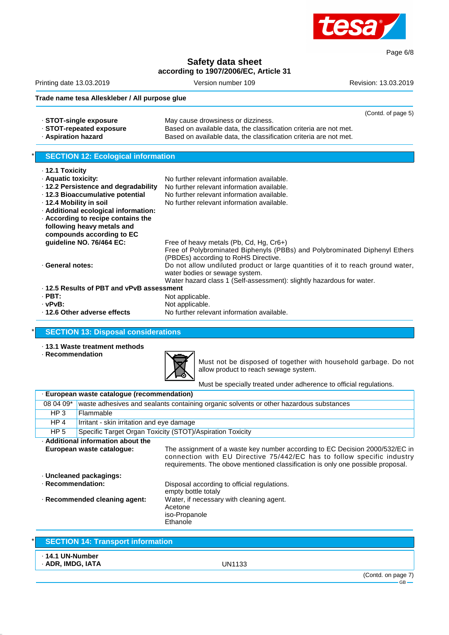

# **Safety data sheet according to 1907/2006/EC, Article 31**

Printing date 13.03.2019 Version number 109 Revision: 13.03.2019

Page 6/8

# **Trade name tesa Alleskleber / All purpose glue**

|                          |                                                                   | (Contd. of page 5) |
|--------------------------|-------------------------------------------------------------------|--------------------|
| ⋅ STOT-single exposure   | May cause drowsiness or dizziness.                                |                    |
| ⋅ STOT-repeated exposure | Based on available data, the classification criteria are not met. |                    |
| Aspiration hazard        | Based on available data, the classification criteria are not met. |                    |

## **SECTION 12: Ecological information**

| $\cdot$ 12.1 Toxicity                     |                                                                                                                    |
|-------------------------------------------|--------------------------------------------------------------------------------------------------------------------|
| · Aquatic toxicity:                       | No further relevant information available.                                                                         |
| ⋅ 12.2 Persistence and degradability      | No further relevant information available.                                                                         |
| ⋅ 12.3 Bioaccumulative potential          | No further relevant information available.                                                                         |
| ⋅ 12.4 Mobility in soil                   | No further relevant information available.                                                                         |
| · Additional ecological information:      |                                                                                                                    |
| $\cdot$ According to recipe contains the  |                                                                                                                    |
| following heavy metals and                |                                                                                                                    |
| compounds according to EC                 |                                                                                                                    |
| quideline NO. 76/464 EC:                  | Free of heavy metals (Pb, Cd, Hg, Cr6+)                                                                            |
|                                           | Free of Polybrominated Biphenyls (PBBs) and Polybrominated Diphenyl Ethers<br>(PBDEs) according to RoHS Directive. |
| · General notes:                          | Do not allow undiluted product or large quantities of it to reach ground water,                                    |
|                                           | water bodies or sewage system.                                                                                     |
|                                           | Water hazard class 1 (Self-assessment): slightly hazardous for water.                                              |
| . 12.5 Results of PBT and vPvB assessment |                                                                                                                    |
| $\cdot$ PBT:                              | Not applicable.                                                                                                    |
| $\cdot$ . $\sim$                          | الملحم المسمر فملية                                                                                                |

- 
- **· vPvB:** Not applicable.<br>12.6 Other adverse effects No further relev No further relevant information available.

#### **SECTION 13: Disposal considerations**

- · **13.1 Waste treatment methods**
- · **Recommendation**



Must not be disposed of together with household garbage. Do not allow product to reach sewage system.

Must be specially treated under adherence to official regulations.

| · European waste cataloque (recommendation)                                             |                                                                                                                                                                                                                                           |  |  |
|-----------------------------------------------------------------------------------------|-------------------------------------------------------------------------------------------------------------------------------------------------------------------------------------------------------------------------------------------|--|--|
| waste adhesives and sealants containing organic solvents or other hazardous substances  |                                                                                                                                                                                                                                           |  |  |
|                                                                                         |                                                                                                                                                                                                                                           |  |  |
| Irritant - skin irritation and eye damage                                               |                                                                                                                                                                                                                                           |  |  |
|                                                                                         | Specific Target Organ Toxicity (STOT)/Aspiration Toxicity                                                                                                                                                                                 |  |  |
| . Additional information about the                                                      |                                                                                                                                                                                                                                           |  |  |
| European waste catalogue:                                                               | The assignment of a waste key number according to EC Decision 2000/532/EC in<br>connection with EU Directive 75/442/EC has to follow specific industry<br>requirements. The obove mentioned classification is only one possible proposal. |  |  |
| · Uncleaned packagings:                                                                 |                                                                                                                                                                                                                                           |  |  |
| · Recommendation:<br>Disposal according to official regulations.<br>empty bottle totaly |                                                                                                                                                                                                                                           |  |  |
| Recommended cleaning agent:                                                             | Water, if necessary with cleaning agent.<br>Acetone<br>iso-Propanole<br>Ethanole                                                                                                                                                          |  |  |
|                                                                                         | Flammable                                                                                                                                                                                                                                 |  |  |

| <b>SECTION 14: Transport information</b>    |        |                    |
|---------------------------------------------|--------|--------------------|
| $\cdot$ 14.1 UN-Number<br>· ADR, IMDG, IATA | UN1133 |                    |
|                                             |        | (Contd. on page 7) |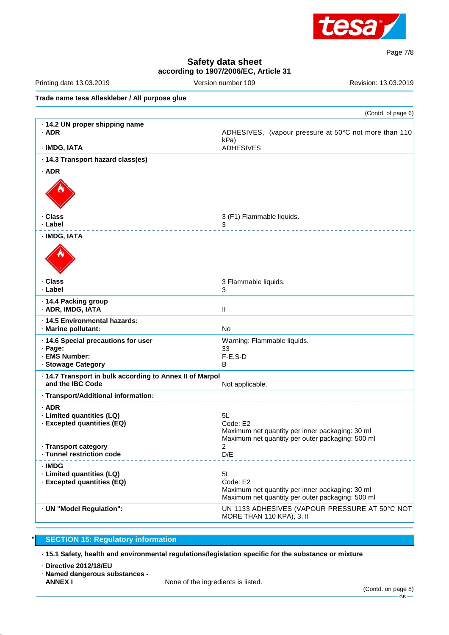

Page 7/8

# **Safety data sheet according to 1907/2006/EC, Article 31**

| Printing date 13.03.2019                                                     | Version number 109                                                                                  | Revision: 13.03.2019                                  |
|------------------------------------------------------------------------------|-----------------------------------------------------------------------------------------------------|-------------------------------------------------------|
| Trade name tesa Alleskleber / All purpose glue                               |                                                                                                     |                                                       |
|                                                                              |                                                                                                     | (Contd. of page 6)                                    |
| · 14.2 UN proper shipping name<br>$·$ ADR                                    | kPa)                                                                                                | ADHESIVES, (vapour pressure at 50°C not more than 110 |
| · IMDG, IATA                                                                 | <b>ADHESIVES</b>                                                                                    |                                                       |
| · 14.3 Transport hazard class(es)<br>$·$ ADR                                 |                                                                                                     |                                                       |
|                                                                              |                                                                                                     |                                                       |
| · Class<br>· Label                                                           | 3 (F1) Flammable liquids.<br>3                                                                      |                                                       |
| · IMDG, IATA                                                                 |                                                                                                     |                                                       |
|                                                                              |                                                                                                     |                                                       |
| · Class<br>· Label                                                           | 3 Flammable liquids.<br>3                                                                           |                                                       |
| · 14.4 Packing group<br>· ADR, IMDG, IATA                                    | $\mathbf{II}$                                                                                       |                                                       |
| · 14.5 Environmental hazards:<br>· Marine pollutant:                         | <b>No</b>                                                                                           |                                                       |
| · 14.6 Special precautions for user                                          | Warning: Flammable liquids.                                                                         |                                                       |
| · Page:<br>· EMS Number:                                                     | 33<br>$F-E$ , S-D                                                                                   |                                                       |
| · Stowage Category                                                           | В                                                                                                   |                                                       |
| · 14.7 Transport in bulk according to Annex II of Marpol<br>and the IBC Code | Not applicable.                                                                                     |                                                       |
| · Transport/Additional information:                                          |                                                                                                     |                                                       |
| · ADR                                                                        |                                                                                                     |                                                       |
| · Limited quantities (LQ)<br>· Excepted quantities (EQ)                      | 5L<br>Code: E2                                                                                      |                                                       |
|                                                                              | Maximum net quantity per inner packaging: 30 ml<br>Maximum net quantity per outer packaging: 500 ml |                                                       |
| · Transport category<br>· Tunnel restriction code                            | $\overline{2}$<br>D/E                                                                               |                                                       |
| $\cdot$ IMDG                                                                 |                                                                                                     |                                                       |
| · Limited quantities (LQ)                                                    | 5L                                                                                                  |                                                       |
| · Excepted quantities (EQ)                                                   | Code: E2                                                                                            |                                                       |
|                                                                              | Maximum net quantity per inner packaging: 30 ml<br>Maximum net quantity per outer packaging: 500 ml |                                                       |
| · UN "Model Regulation":                                                     | MORE THAN 110 KPA), 3, II                                                                           | UN 1133 ADHESIVES (VAPOUR PRESSURE AT 50°C NOT        |

# **SECTION 15: Regulatory information**

· **15.1 Safety, health and environmental regulations/legislation specific for the substance or mixture**

- · **Directive 2012/18/EU**
- · **Named dangerous substances -** None of the ingredients is listed.